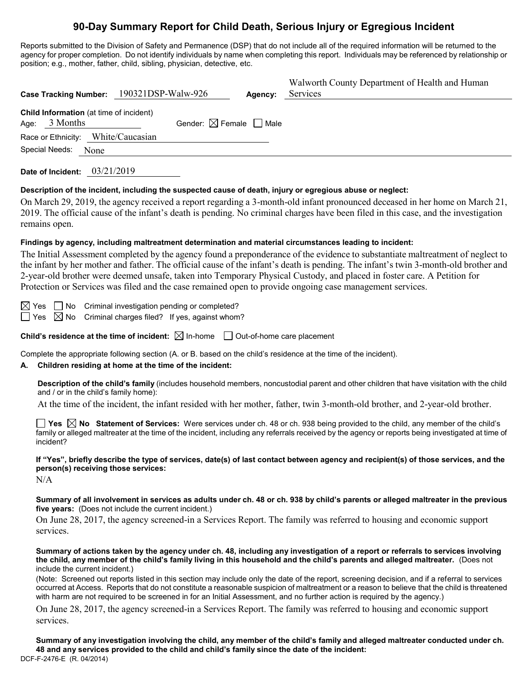# **90-Day Summary Report for Child Death, Serious Injury or Egregious Incident**

Reports submitted to the Division of Safety and Permanence (DSP) that do not include all of the required information will be returned to the agency for proper completion. Do not identify individuals by name when completing this report. Individuals may be referenced by relationship or position; e.g., mother, father, child, sibling, physician, detective, etc.

| Case Tracking Number: 190321DSP-Walw-926                   |                                        | Agency: | Walworth County Department of Health and Human<br>Services |
|------------------------------------------------------------|----------------------------------------|---------|------------------------------------------------------------|
| Child Information (at time of incident)<br>Age: $3$ Months | Gender: $\boxtimes$ Female $\Box$ Male |         |                                                            |
| Race or Ethnicity: White/Caucasian                         |                                        |         |                                                            |
| Special Needs:<br>None                                     |                                        |         |                                                            |

**Date of Incident:** 03/21/2019

### **Description of the incident, including the suspected cause of death, injury or egregious abuse or neglect:**

On March 29, 2019, the agency received a report regarding a 3-month-old infant pronounced deceased in her home on March 21, 2019. The official cause of the infant's death is pending. No criminal charges have been filed in this case, and the investigation remains open.

### **Findings by agency, including maltreatment determination and material circumstances leading to incident:**

The Initial Assessment completed by the agency found a preponderance of the evidence to substantiate maltreatment of neglect to the infant by her mother and father. The official cause of the infant's death is pending. The infant's twin 3-month-old brother and 2-year-old brother were deemed unsafe, taken into Temporary Physical Custody, and placed in foster care. A Petition for Protection or Services was filed and the case remained open to provide ongoing case management services.

 $\boxtimes$  Yes  $\Box$  No Criminal investigation pending or completed?  $\Box$  Yes  $\boxtimes$  No Criminal charges filed? If yes, against whom?

**Child's residence at the time of incident:**  $\boxtimes$  In-home  $\Box$  Out-of-home care placement

Complete the appropriate following section (A. or B. based on the child's residence at the time of the incident).

### **A. Children residing at home at the time of the incident:**

**Description of the child's family** (includes household members, noncustodial parent and other children that have visitation with the child and / or in the child's family home):

At the time of the incident, the infant resided with her mother, father, twin 3-month-old brother, and 2-year-old brother.

**Yes No Statement of Services:** Were services under ch. 48 or ch. 938 being provided to the child, any member of the child's family or alleged maltreater at the time of the incident, including any referrals received by the agency or reports being investigated at time of incident?

# **If "Yes", briefly describe the type of services, date(s) of last contact between agency and recipient(s) of those services, and the person(s) receiving those services:**

N/A

**Summary of all involvement in services as adults under ch. 48 or ch. 938 by child's parents or alleged maltreater in the previous five years:** (Does not include the current incident.)

On June 28, 2017, the agency screened-in a Services Report. The family was referred to housing and economic support services.

**Summary of actions taken by the agency under ch. 48, including any investigation of a report or referrals to services involving the child, any member of the child's family living in this household and the child's parents and alleged maltreater.** (Does not include the current incident.)

(Note: Screened out reports listed in this section may include only the date of the report, screening decision, and if a referral to services occurred at Access. Reports that do not constitute a reasonable suspicion of maltreatment or a reason to believe that the child is threatened with harm are not required to be screened in for an Initial Assessment, and no further action is required by the agency.)

On June 28, 2017, the agency screened-in a Services Report. The family was referred to housing and economic support services.

DCF-F-2476-E (R. 04/2014) **Summary of any investigation involving the child, any member of the child's family and alleged maltreater conducted under ch. 48 and any services provided to the child and child's family since the date of the incident:**